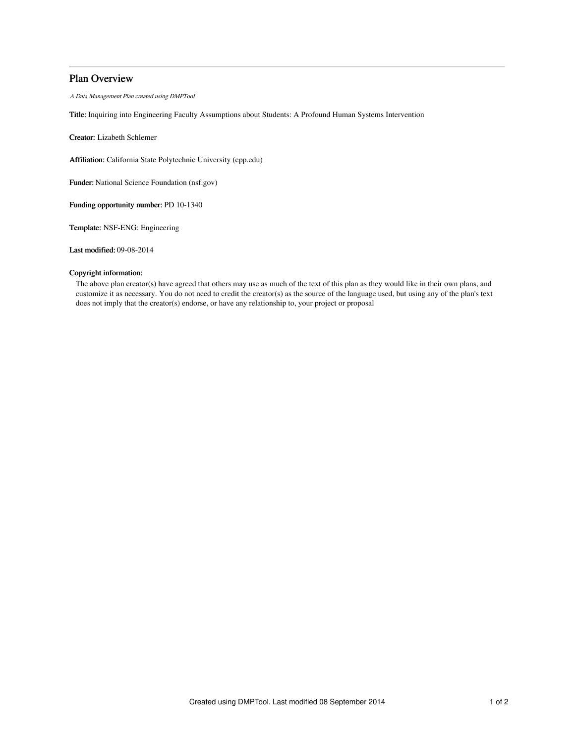# Plan Overview

A Data Management Plan created using DMPTool

Title: Inquiring into Engineering Faculty Assumptions about Students: A Profound Human Systems Intervention

Creator: Lizabeth Schlemer

Affiliation: California State Polytechnic University (cpp.edu)

Funder: National Science Foundation (nsf.gov)

Funding opportunity number: PD 10-1340

Template: NSF-ENG: Engineering

Last modified: 09-08-2014

## Copyright information:

The above plan creator(s) have agreed that others may use as much of the text of this plan as they would like in their own plans, and customize it as necessary. You do not need to credit the creator(s) as the source of the language used, but using any of the plan's text does not imply that the creator(s) endorse, or have any relationship to, your project or proposal